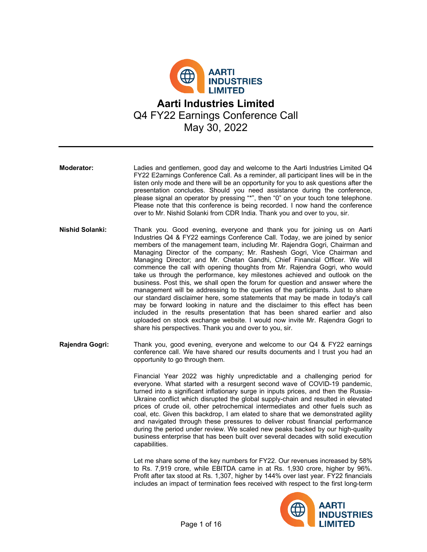

- **Moderator:** Ladies and gentlemen, good day and welcome to the Aarti Industries Limited Q4 FY22 E2arnings Conference Call. As a reminder, all participant lines will be in the listen only mode and there will be an opportunity for you to ask questions after the presentation concludes. Should you need assistance during the conference, please signal an operator by pressing "\*", then "0" on your touch tone telephone. Please note that this conference is being recorded. I now hand the conference over to Mr. Nishid Solanki from CDR India. Thank you and over to you, sir.
- **Nishid Solanki:** Thank you. Good evening, everyone and thank you for joining us on Aarti Industries Q4 & FY22 earnings Conference Call. Today, we are joined by senior members of the management team, including Mr. Rajendra Gogri, Chairman and Managing Director of the company; Mr. Rashesh Gogri, Vice Chairman and Managing Director; and Mr. Chetan Gandhi, Chief Financial Officer. We will commence the call with opening thoughts from Mr. Rajendra Gogri, who would take us through the performance, key milestones achieved and outlook on the business. Post this, we shall open the forum for question and answer where the management will be addressing to the queries of the participants. Just to share our standard disclaimer here, some statements that may be made in today's call may be forward looking in nature and the disclaimer to this effect has been included in the results presentation that has been shared earlier and also uploaded on stock exchange website. I would now invite Mr. Rajendra Gogri to share his perspectives. Thank you and over to you, sir.
- **Rajendra Gogri:** Thank you, good evening, everyone and welcome to our Q4 & FY22 earnings conference call. We have shared our results documents and I trust you had an opportunity to go through them.

Financial Year 2022 was highly unpredictable and a challenging period for everyone. What started with a resurgent second wave of COVID-19 pandemic, turned into a significant inflationary surge in inputs prices, and then the Russia-Ukraine conflict which disrupted the global supply-chain and resulted in elevated prices of crude oil, other petrochemical intermediates and other fuels such as coal, etc. Given this backdrop, I am elated to share that we demonstrated agility and navigated through these pressures to deliver robust financial performance during the period under review. We scaled new peaks backed by our high-quality business enterprise that has been built over several decades with solid execution capabilities.

Let me share some of the key numbers for FY22. Our revenues increased by 58% to Rs. 7,919 crore, while EBITDA came in at Rs. 1,930 crore, higher by 96%. Profit after tax stood at Rs. 1,307, higher by 144% over last year. FY22 financials includes an impact of termination fees received with respect to the first long-term

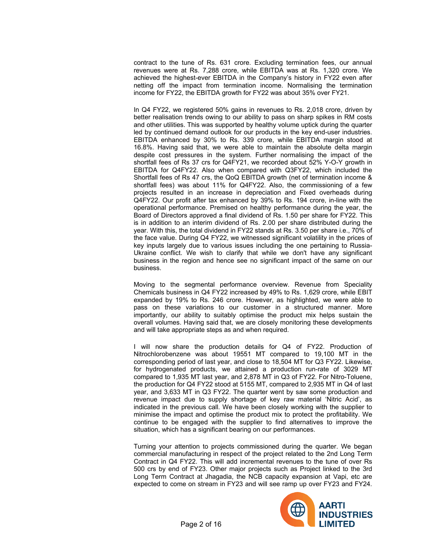contract to the tune of Rs. 631 crore. Excluding termination fees, our annual revenues were at Rs. 7,288 crore, while EBITDA was at Rs. 1,320 crore. We achieved the highest-ever EBITDA in the Company's history in FY22 even after netting off the impact from termination income. Normalising the termination income for FY22, the EBITDA growth for FY22 was about 35% over FY21.

In Q4 FY22, we registered 50% gains in revenues to Rs. 2,018 crore, driven by better realisation trends owing to our ability to pass on sharp spikes in RM costs and other utilities. This was supported by healthy volume uptick during the quarter led by continued demand outlook for our products in the key end-user industries. EBITDA enhanced by 30% to Rs. 339 crore, while EBITDA margin stood at 16.8%. Having said that, we were able to maintain the absolute delta margin despite cost pressures in the system. Further normalising the impact of the shortfall fees of Rs 37 crs for Q4FY21, we recorded about 52% Y-O-Y growth in EBITDA for Q4FY22. Also when compared with Q3FY22, which included the Shortfall fees of Rs 47 crs, the QoQ EBITDA growth (net of termination income & shortfall fees) was about 11% for Q4FY22. Also, the commissioning of a few projects resulted in an increase in depreciation and Fixed overheads during Q4FY22. Our profit after tax enhanced by 39% to Rs. 194 crore, in-line with the operational performance. Premised on healthy performance during the year, the Board of Directors approved a final dividend of Rs. 1.50 per share for FY22. This is in addition to an interim dividend of Rs. 2.00 per share distributed during the year. With this, the total dividend in FY22 stands at Rs. 3.50 per share i.e., 70% of the face value. During Q4 FY22, we witnessed significant volatility in the prices of key inputs largely due to various issues including the one pertaining to Russia-Ukraine conflict. We wish to clarify that while we don't have any significant business in the region and hence see no significant impact of the same on our business.

Moving to the segmental performance overview. Revenue from Speciality Chemicals business in Q4 FY22 increased by 49% to Rs. 1,629 crore, while EBIT expanded by 19% to Rs. 246 crore. However, as highlighted, we were able to pass on these variations to our customer in a structured manner. More importantly, our ability to suitably optimise the product mix helps sustain the overall volumes. Having said that, we are closely monitoring these developments and will take appropriate steps as and when required.

I will now share the production details for Q4 of FY22. Production of Nitrochlorobenzene was about 19551 MT compared to 19,100 MT in the corresponding period of last year, and close to 18,504 MT for Q3 FY22. Likewise, for hydrogenated products, we attained a production run-rate of 3029 MT compared to 1,935 MT last year, and 2,878 MT in Q3 of FY22. For Nitro-Toluene, the production for Q4 FY22 stood at 5155 MT, compared to 2,935 MT in Q4 of last year, and 3,633 MT in Q3 FY22. The quarter went by saw some production and revenue impact due to supply shortage of key raw material 'Nitric Acid', as indicated in the previous call. We have been closely working with the supplier to minimise the impact and optimise the product mix to protect the profitability. We continue to be engaged with the supplier to find alternatives to improve the situation, which has a significant bearing on our performances.

Turning your attention to projects commissioned during the quarter. We began commercial manufacturing in respect of the project related to the 2nd Long Term Contract in Q4 FY22. This will add incremental revenues to the tune of over Rs 500 crs by end of FY23. Other major projects such as Project linked to the 3rd Long Term Contract at Jhagadia, the NCB capacity expansion at Vapi, etc are expected to come on stream in FY23 and will see ramp up over FY23 and FY24.

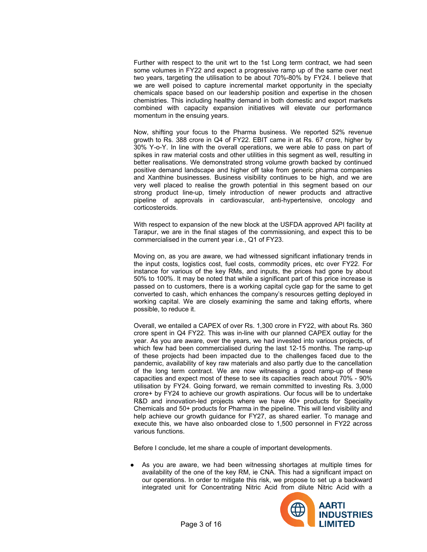Further with respect to the unit wrt to the 1st Long term contract, we had seen some volumes in FY22 and expect a progressive ramp up of the same over next two years, targeting the utilisation to be about 70%-80% by FY24. I believe that we are well poised to capture incremental market opportunity in the specialty chemicals space based on our leadership position and expertise in the chosen chemistries. This including healthy demand in both domestic and export markets combined with capacity expansion initiatives will elevate our performance momentum in the ensuing years.

Now, shifting your focus to the Pharma business. We reported 52% revenue growth to Rs. 388 crore in Q4 of FY22. EBIT came in at Rs. 67 crore, higher by 30% Y-o-Y. In line with the overall operations, we were able to pass on part of spikes in raw material costs and other utilities in this segment as well, resulting in better realisations. We demonstrated strong volume growth backed by continued positive demand landscape and higher off take from generic pharma companies and Xanthine businesses. Business visibility continues to be high, and we are very well placed to realise the growth potential in this segment based on our strong product line-up, timely introduction of newer products and attractive pipeline of approvals in cardiovascular, anti-hypertensive, oncology and corticosteroids.

With respect to expansion of the new block at the USFDA approved API facility at Tarapur, we are in the final stages of the commissioning, and expect this to be commercialised in the current year i.e., Q1 of FY23.

Moving on, as you are aware, we had witnessed significant inflationary trends in the input costs, logistics cost, fuel costs, commodity prices, etc over FY22. For instance for various of the key RMs, and inputs, the prices had gone by about 50% to 100%. It may be noted that while a significant part of this price increase is passed on to customers, there is a working capital cycle gap for the same to get converted to cash, which enhances the company's resources getting deployed in working capital. We are closely examining the same and taking efforts, where possible, to reduce it.

Overall, we entailed a CAPEX of over Rs. 1,300 crore in FY22, with about Rs. 360 crore spent in Q4 FY22. This was in-line with our planned CAPEX outlay for the year. As you are aware, over the years, we had invested into various projects, of which few had been commercialised during the last 12-15 months. The ramp-up of these projects had been impacted due to the challenges faced due to the pandemic, availability of key raw materials and also partly due to the cancellation of the long term contract. We are now witnessing a good ramp-up of these capacities and expect most of these to see its capacities reach about 70% - 90% utilisation by FY24. Going forward, we remain committed to investing Rs. 3,000 crore+ by FY24 to achieve our growth aspirations. Our focus will be to undertake R&D and innovation-led projects where we have 40+ products for Speciality Chemicals and 50+ products for Pharma in the pipeline. This will lend visibility and help achieve our growth guidance for FY27, as shared earlier. To manage and execute this, we have also onboarded close to 1,500 personnel in FY22 across various functions.

Before I conclude, let me share a couple of important developments.

● As you are aware, we had been witnessing shortages at multiple times for availability of the one of the key RM, ie CNA. This had a significant impact on our operations. In order to mitigate this risk, we propose to set up a backward integrated unit for Concentrating Nitric Acid from dilute Nitric Acid with a

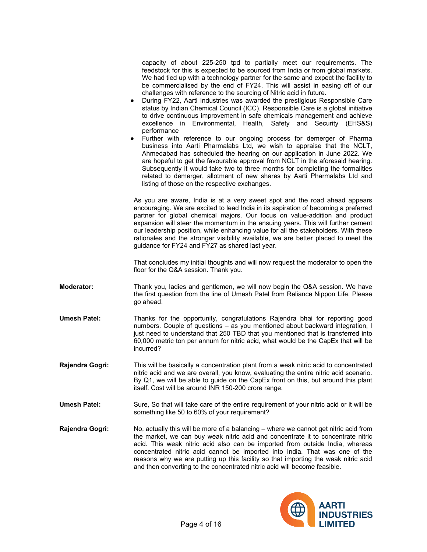|                   | capacity of about 225-250 tpd to partially meet our requirements. The<br>feedstock for this is expected to be sourced from India or from global markets.<br>We had tied up with a technology partner for the same and expect the facility to<br>be commercialised by the end of FY24. This will assist in easing off of our<br>challenges with reference to the sourcing of Nitric acid in future.<br>During FY22, Aarti Industries was awarded the prestigious Responsible Care<br>$\bullet$<br>status by Indian Chemical Council (ICC). Responsible Care is a global initiative<br>to drive continuous improvement in safe chemicals management and achieve<br>excellence in Environmental, Health, Safety and Security (EHS&S)<br>performance<br>Further with reference to our ongoing process for demerger of Pharma<br>$\bullet$<br>business into Aarti Pharmalabs Ltd, we wish to appraise that the NCLT,<br>Ahmedabad has scheduled the hearing on our application in June 2022. We<br>are hopeful to get the favourable approval from NCLT in the aforesaid hearing.<br>Subsequently it would take two to three months for completing the formalities<br>related to demerger, allotment of new shares by Aarti Pharmalabs Ltd and<br>listing of those on the respective exchanges. |
|-------------------|--------------------------------------------------------------------------------------------------------------------------------------------------------------------------------------------------------------------------------------------------------------------------------------------------------------------------------------------------------------------------------------------------------------------------------------------------------------------------------------------------------------------------------------------------------------------------------------------------------------------------------------------------------------------------------------------------------------------------------------------------------------------------------------------------------------------------------------------------------------------------------------------------------------------------------------------------------------------------------------------------------------------------------------------------------------------------------------------------------------------------------------------------------------------------------------------------------------------------------------------------------------------------------------------|
|                   | As you are aware, India is at a very sweet spot and the road ahead appears<br>encouraging. We are excited to lead India in its aspiration of becoming a preferred<br>partner for global chemical majors. Our focus on value-addition and product<br>expansion will steer the momentum in the ensuing years. This will further cement<br>our leadership position, while enhancing value for all the stakeholders. With these<br>rationales and the stronger visibility available, we are better placed to meet the<br>guidance for FY24 and FY27 as shared last year.                                                                                                                                                                                                                                                                                                                                                                                                                                                                                                                                                                                                                                                                                                                       |
|                   | That concludes my initial thoughts and will now request the moderator to open the<br>floor for the Q&A session. Thank you.                                                                                                                                                                                                                                                                                                                                                                                                                                                                                                                                                                                                                                                                                                                                                                                                                                                                                                                                                                                                                                                                                                                                                                 |
| <b>Moderator:</b> | Thank you, ladies and gentlemen, we will now begin the Q&A session. We have<br>the first question from the line of Umesh Patel from Reliance Nippon Life. Please<br>go ahead.                                                                                                                                                                                                                                                                                                                                                                                                                                                                                                                                                                                                                                                                                                                                                                                                                                                                                                                                                                                                                                                                                                              |
| Umesh Patel:      | Thanks for the opportunity, congratulations Rajendra bhai for reporting good<br>numbers. Couple of questions - as you mentioned about backward integration, I<br>just need to understand that 250 TBD that you mentioned that is transferred into<br>60,000 metric ton per annum for nitric acid, what would be the CapEx that will be<br>incurred?                                                                                                                                                                                                                                                                                                                                                                                                                                                                                                                                                                                                                                                                                                                                                                                                                                                                                                                                        |
| Rajendra Gogri:   | This will be basically a concentration plant from a weak nitric acid to concentrated<br>nitric acid and we are overall, you know, evaluating the entire nitric acid scenario.<br>By Q1, we will be able to guide on the CapEx front on this, but around this plant<br>itself. Cost will be around INR 150-200 crore range.                                                                                                                                                                                                                                                                                                                                                                                                                                                                                                                                                                                                                                                                                                                                                                                                                                                                                                                                                                 |
| Umesh Patel:      | Sure, So that will take care of the entire requirement of your nitric acid or it will be<br>something like 50 to 60% of your requirement?                                                                                                                                                                                                                                                                                                                                                                                                                                                                                                                                                                                                                                                                                                                                                                                                                                                                                                                                                                                                                                                                                                                                                  |
| Rajendra Gogri:   | No, actually this will be more of a balancing – where we cannot get nitric acid from                                                                                                                                                                                                                                                                                                                                                                                                                                                                                                                                                                                                                                                                                                                                                                                                                                                                                                                                                                                                                                                                                                                                                                                                       |

the market, we can buy weak nitric acid and concentrate it to concentrate nitric acid. This weak nitric acid also can be imported from outside India, whereas concentrated nitric acid cannot be imported into India. That was one of the reasons why we are putting up this facility so that importing the weak nitric acid and then converting to the concentrated nitric acid will become feasible.

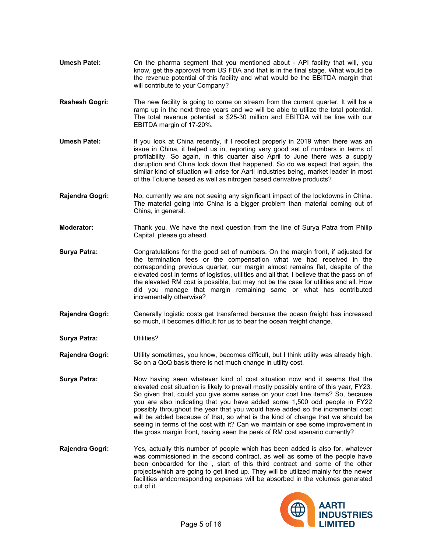- **Umesh Patel:** On the pharma segment that you mentioned about API facility that will, you know, get the approval from US FDA and that is in the final stage. What would be the revenue potential of this facility and what would be the EBITDA margin that will contribute to your Company?
- **Rashesh Gogri:** The new facility is going to come on stream from the current quarter. It will be a ramp up in the next three years and we will be able to utilize the total potential. The total revenue potential is \$25-30 million and EBITDA will be line with our EBITDA margin of 17-20%.
- **Umesh Patel:** If you look at China recently, if I recollect properly in 2019 when there was an issue in China, it helped us in, reporting very good set of numbers in terms of profitability. So again, in this quarter also April to June there was a supply disruption and China lock down that happened. So do we expect that again, the similar kind of situation will arise for Aarti Industries being, market leader in most of the Toluene based as well as nitrogen based derivative products?
- **Rajendra Gogri:** No, currently we are not seeing any significant impact of the lockdowns in China. The material going into China is a bigger problem than material coming out of China, in general.
- **Moderator:** Thank you. We have the next question from the line of Surya Patra from Philip Capital, please go ahead.
- **Surya Patra:** Congratulations for the good set of numbers. On the margin front, if adjusted for the termination fees or the compensation what we had received in the corresponding previous quarter, our margin almost remains flat, despite of the elevated cost in terms of logistics, utilities and all that. I believe that the pass on of the elevated RM cost is possible, but may not be the case for utilities and all. How did you manage that margin remaining same or what has contributed incrementally otherwise?
- **Rajendra Gogri:** Generally logistic costs get transferred because the ocean freight has increased so much, it becomes difficult for us to bear the ocean freight change.
- **Surya Patra:** Utilities?
- **Rajendra Gogri:** Utility sometimes, you know, becomes difficult, but I think utility was already high. So on a QoQ basis there is not much change in utility cost.
- **Surya Patra:** Now having seen whatever kind of cost situation now and it seems that the elevated cost situation is likely to prevail mostly possibly entire of this year, FY23. So given that, could you give some sense on your cost line items? So, because you are also indicating that you have added some 1,500 odd people in FY22 possibly throughout the year that you would have added so the incremental cost will be added because of that, so what is the kind of change that we should be seeing in terms of the cost with it? Can we maintain or see some improvement in the gross margin front, having seen the peak of RM cost scenario currently?
- **Rajendra Gogri:** Yes, actually this number of people which has been added is also for, whatever was commissioned in the second contract, as well as some of the people have been onboarded for the , start of this third contract and some of the other projectswhich are going to get lined up. They will be utilized mainly for the newer facilities andcorresponding expenses will be absorbed in the volumes generated out of it.

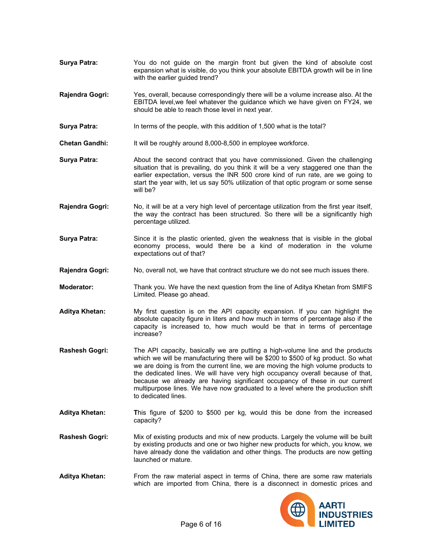- **Surya Patra:** You do not guide on the margin front but given the kind of absolute cost expansion what is visible, do you think your absolute EBITDA growth will be in line with the earlier guided trend?
- **Rajendra Gogri:** Yes, overall, because correspondingly there will be a volume increase also. At the EBITDA level,we feel whatever the guidance which we have given on FY24, we should be able to reach those level in next year.
- **Surya Patra:** In terms of the people, with this addition of 1,500 what is the total?
- **Chetan Gandhi:** It will be roughly around 8,000-8,500 in employee workforce.
- **Surya Patra:** About the second contract that you have commissioned. Given the challenging situation that is prevailing, do you think it will be a very staggered one than the earlier expectation, versus the INR 500 crore kind of run rate, are we going to start the year with, let us say 50% utilization of that optic program or some sense will be?
- **Rajendra Gogri:** No, it will be at a very high level of percentage utilization from the first year itself, the way the contract has been structured. So there will be a significantly high percentage utilized.
- **Surya Patra:** Since it is the plastic oriented, given the weakness that is visible in the global economy process, would there be a kind of moderation in the volume expectations out of that?
- **Rajendra Gogri:** No, overall not, we have that contract structure we do not see much issues there.
- **Moderator:** Thank you. We have the next question from the line of Aditya Khetan from SMIFS Limited. Please go ahead.
- **Aditya Khetan:** My first question is on the API capacity expansion. If you can highlight the absolute capacity figure in liters and how much in terms of percentage also if the capacity is increased to, how much would be that in terms of percentage increase?
- **Rashesh Gogri:** The API capacity, basically we are putting a high-volume line and the products which we will be manufacturing there will be \$200 to \$500 of kg product. So what we are doing is from the current line, we are moving the high volume products to the dedicated lines. We will have very high occupancy overall because of that, because we already are having significant occupancy of these in our current multipurpose lines. We have now graduated to a level where the production shift to dedicated lines.
- **Aditya Khetan: T**his figure of \$200 to \$500 per kg, would this be done from the increased capacity?
- **Rashesh Gogri:** Mix of existing products and mix of new products. Largely the volume will be built by existing products and one or two higher new products for which, you know, we have already done the validation and other things. The products are now getting launched or mature.
- **Aditya Khetan:** From the raw material aspect in terms of China, there are some raw materials which are imported from China, there is a disconnect in domestic prices and

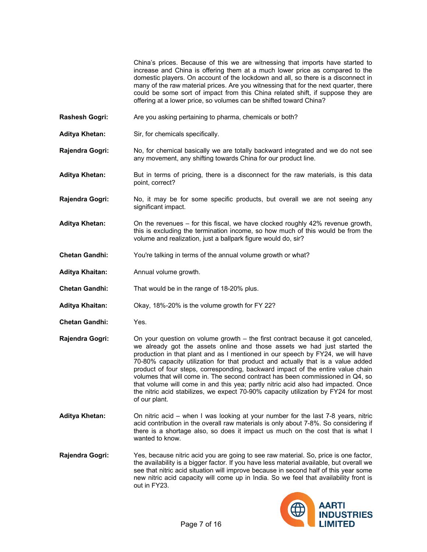China's prices. Because of this we are witnessing that imports have started to increase and China is offering them at a much lower price as compared to the domestic players. On account of the lockdown and all, so there is a disconnect in many of the raw material prices. Are you witnessing that for the next quarter, there could be some sort of impact from this China related shift, if suppose they are offering at a lower price, so volumes can be shifted toward China?

- **Rashesh Gogri:** Are you asking pertaining to pharma, chemicals or both?
- **Aditya Khetan:** Sir, for chemicals specifically.

**Rajendra Gogri:** No, for chemical basically we are totally backward integrated and we do not see any movement, any shifting towards China for our product line.

- **Aditya Khetan:** But in terms of pricing, there is a disconnect for the raw materials, is this data point, correct?
- **Rajendra Gogri:** No, it may be for some specific products, but overall we are not seeing any significant impact.
- **Aditya Khetan:** On the revenues for this fiscal, we have clocked roughly 42% revenue growth, this is excluding the termination income, so how much of this would be from the volume and realization, just a ballpark figure would do, sir?
- **Chetan Gandhi:** You're talking in terms of the annual volume growth or what?
- **Aditya Khaitan:** Annual volume growth.
- **Chetan Gandhi:** That would be in the range of 18-20% plus.
- **Aditya Khaitan:** Okay, 18%-20% is the volume growth for FY 22?
- **Chetan Gandhi:** Yes.

**Rajendra Gogri:** On your question on volume growth – the first contract because it got canceled, we already got the assets online and those assets we had just started the production in that plant and as I mentioned in our speech by FY24, we will have 70-80% capacity utilization for that product and actually that is a value added product of four steps, corresponding, backward impact of the entire value chain volumes that will come in. The second contract has been commissioned in Q4, so that volume will come in and this yea; partly nitric acid also had impacted. Once the nitric acid stabilizes, we expect 70-90% capacity utilization by FY24 for most of our plant.

- **Aditya Khetan:** On nitric acid when I was looking at your number for the last 7-8 years, nitric acid contribution in the overall raw materials is only about 7-8%. So considering if there is a shortage also, so does it impact us much on the cost that is what I wanted to know.
- **Rajendra Gogri:** Yes, because nitric acid you are going to see raw material. So, price is one factor, the availability is a bigger factor. If you have less material available, but overall we see that nitric acid situation will improve because in second half of this year some new nitric acid capacity will come up in India. So we feel that availability front is out in FY23.

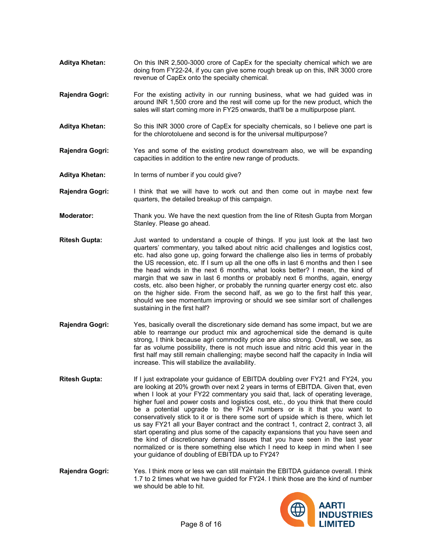- **Aditya Khetan:** On this INR 2,500-3000 crore of CapEx for the specialty chemical which we are doing from FY22-24, if you can give some rough break up on this, INR 3000 crore revenue of CapEx onto the specialty chemical.
- **Rajendra Gogri:** For the existing activity in our running business, what we had guided was in around INR 1,500 crore and the rest will come up for the new product, which the sales will start coming more in FY25 onwards, that'll be a multipurpose plant.
- **Aditya Khetan:** So this INR 3000 crore of CapEx for specialty chemicals, so I believe one part is for the chlorotoluene and second is for the universal multipurpose?
- **Rajendra Gogri:** Yes and some of the existing product downstream also, we will be expanding capacities in addition to the entire new range of products.
- **Aditya Khetan:** In terms of number if you could give?
- **Rajendra Gogri:** I think that we will have to work out and then come out in maybe next few quarters, the detailed breakup of this campaign.
- **Moderator:** Thank you. We have the next question from the line of Ritesh Gupta from Morgan Stanley. Please go ahead.
- **Ritesh Gupta:** Just wanted to understand a couple of things. If you just look at the last two quarters' commentary, you talked about nitric acid challenges and logistics cost, etc. had also gone up, going forward the challenge also lies in terms of probably the US recession, etc. If I sum up all the one offs in last 6 months and then I see the head winds in the next 6 months, what looks better? I mean, the kind of margin that we saw in last 6 months or probably next 6 months, again, energy costs, etc. also been higher, or probably the running quarter energy cost etc. also on the higher side. From the second half, as we go to the first half this year, should we see momentum improving or should we see similar sort of challenges sustaining in the first half?
- **Rajendra Gogri:** Yes, basically overall the discretionary side demand has some impact, but we are able to rearrange our product mix and agrochemical side the demand is quite strong, I think because agri commodity price are also strong. Overall, we see, as far as volume possibility, there is not much issue and nitric acid this year in the first half may still remain challenging; maybe second half the capacity in India will increase. This will stabilize the availability.
- **Ritesh Gupta:** If I just extrapolate your guidance of EBITDA doubling over FY21 and FY24, you are looking at 20% growth over next 2 years in terms of EBITDA. Given that, even when I look at your FY22 commentary you said that, lack of operating leverage, higher fuel and power costs and logistics cost, etc., do you think that there could be a potential upgrade to the FY24 numbers or is it that you want to conservatively stick to it or is there some sort of upside which is there, which let us say FY21 all your Bayer contract and the contract 1, contract 2, contract 3, all start operating and plus some of the capacity expansions that you have seen and the kind of discretionary demand issues that you have seen in the last year normalized or is there something else which I need to keep in mind when I see your guidance of doubling of EBITDA up to FY24?
- **Rajendra Gogri:** Yes. I think more or less we can still maintain the EBITDA guidance overall. I think 1.7 to 2 times what we have guided for FY24. I think those are the kind of number we should be able to hit.

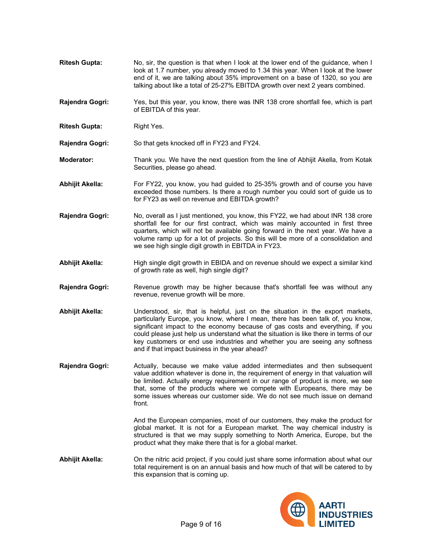- **Ritesh Gupta:** No, sir, the question is that when I look at the lower end of the quidance, when I look at 1.7 number, you already moved to 1.34 this year. When I look at the lower end of it, we are talking about 35% improvement on a base of 1320, so you are talking about like a total of 25-27% EBITDA growth over next 2 years combined.
- **Rajendra Gogri:** Yes, but this year, you know, there was INR 138 crore shortfall fee, which is part of EBITDA of this year.
- **Ritesh Gupta:** Right Yes.

**Rajendra Gogri:** So that gets knocked off in FY23 and FY24.

- **Moderator:** Thank you. We have the next question from the line of Abhijit Akella, from Kotak Securities, please go ahead.
- **Abhijit Akella:** For FY22, you know, you had guided to 25-35% growth and of course you have exceeded those numbers. Is there a rough number you could sort of guide us to for FY23 as well on revenue and EBITDA growth?
- **Rajendra Gogri:** No, overall as I just mentioned, you know, this FY22, we had about INR 138 crore shortfall fee for our first contract, which was mainly accounted in first three quarters, which will not be available going forward in the next year. We have a volume ramp up for a lot of projects. So this will be more of a consolidation and we see high single digit growth in EBITDA in FY23.
- **Abhijit Akella:** High single digit growth in EBIDA and on revenue should we expect a similar kind of growth rate as well, high single digit?
- **Rajendra Gogri:** Revenue growth may be higher because that's shortfall fee was without any revenue, revenue growth will be more.
- **Abhijit Akella:** Understood, sir, that is helpful, just on the situation in the export markets, particularly Europe, you know, where I mean, there has been talk of, you know, significant impact to the economy because of gas costs and everything, if you could please just help us understand what the situation is like there in terms of our key customers or end use industries and whether you are seeing any softness and if that impact business in the year ahead?

**Rajendra Gogri:** Actually, because we make value added intermediates and then subsequent value addition whatever is done in, the requirement of energy in that valuation will be limited. Actually energy requirement in our range of product is more, we see that, some of the products where we compete with Europeans, there may be some issues whereas our customer side. We do not see much issue on demand front.

> And the European companies, most of our customers, they make the product for global market. It is not for a European market. The way chemical industry is structured is that we may supply something to North America, Europe, but the product what they make there that is for a global market.

**Abhijit Akella:** On the nitric acid project, if you could just share some information about what our total requirement is on an annual basis and how much of that will be catered to by this expansion that is coming up.

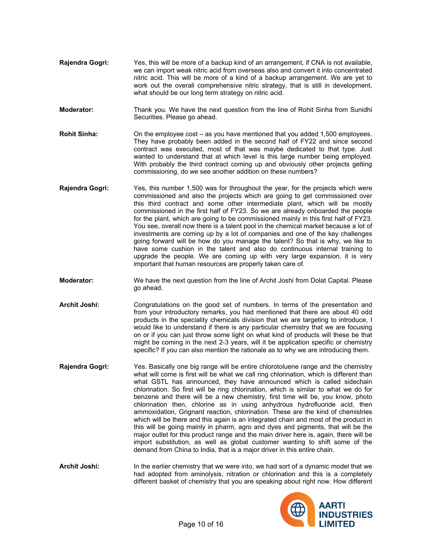- **Rajendra Gogri:** Yes, this will be more of a backup kind of an arrangement, if CNA is not available, we can import weak nitric acid from overseas also and convert it into concentrated nitric acid. This will be more of a kind of a backup arrangement. We are yet to work out the overall comprehensive nitric strategy, that is still in development, what should be our long term strategy on nitric acid.
- **Moderator:** Thank you. We have the next question from the line of Rohit Sinha from Sunidhi Securities. Please go ahead.
- **Rohit Sinha:** On the employee cost as you have mentioned that you added 1,500 employees. They have probably been added in the second half of FY22 and since second contract was executed, most of that was maybe dedicated to that type. Just wanted to understand that at which level is this large number being employed. With probably the third contract coming up and obviously other projects getting commissioning, do we see another addition on these numbers?
- **Rajendra Gogri:** Yes, this number 1,500 was for throughout the year, for the projects which were commissioned and also the projects which are going to get commissioned over this third contract and some other intermediate plant, which will be mostly commissioned in the first half of FY23. So we are already onboarded the people for the plant, which are going to be commissioned mainly in this first half of FY23. You see, overall now there is a talent pool in the chemical market because a lot of investments are coming up by a lot of companies and one of the key challenges going forward will be how do you manage the talent? So that is why, we like to have some cushion in the talent and also do continuous internal training to upgrade the people. We are coming up with very large expansion, it is very important that human resources are properly taken care of.
- **Moderator:** We have the next question from the line of Archit Joshi from Dolat Capital. Please go ahead.
- **Archit Joshi:** Congratulations on the good set of numbers. In terms of the presentation and from your introductory remarks, you had mentioned that there are about 40 odd products in the speciality chemicals division that we are targeting to introduce, I would like to understand if there is any particular chemistry that we are focusing on or if you can just throw some light on what kind of products will these be that might be coming in the next 2-3 years, will it be application specific or chemistry specific? If you can also mention the rationale as to why we are introducing them.
- **Rajendra Gogri:** Yes. Basically one big range will be entire chlorotoluene range and the chemistry what will come is first will be what we call ring chlorination, which is different than what GSTL has announced, they have announced which is called sidechain chlorination. So first will be ring chlorination, which is similar to what we do for benzene and there will be a new chemistry, first time will be, you know, photo chlorination then, chlorine as in using anhydrous hydrofluoride acid, then ammoxidation, Grignard reaction, chlorination. These are the kind of chemistries which will be there and this again is an integrated chain and most of the product in this will be going mainly in pharm, agro and dyes and pigments, that will be the major outlet for this product range and the main driver here is, again, there will be import substitution, as well as global customer wanting to shift some of the demand from China to India, that is a major driver in this entire chain.

**Archit Joshi:** In the earlier chemistry that we were into, we had sort of a dynamic model that we had adopted from aminolysis, nitration or chlorination and this is a completely different basket of chemistry that you are speaking about right now. How different

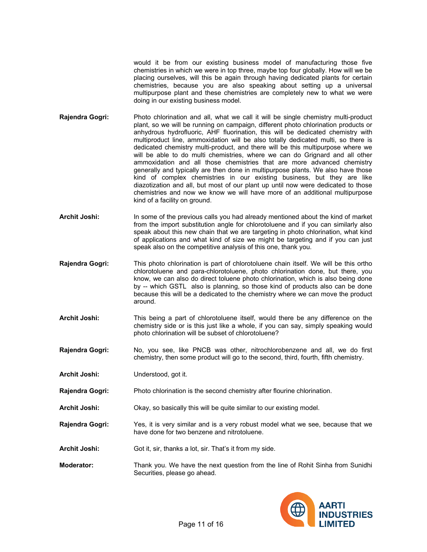would it be from our existing business model of manufacturing those five chemistries in which we were in top three, maybe top four globally. How will we be placing ourselves, will this be again through having dedicated plants for certain chemistries, because you are also speaking about setting up a universal multipurpose plant and these chemistries are completely new to what we were doing in our existing business model.

- **Rajendra Gogri:** Photo chlorination and all, what we call it will be single chemistry multi-product plant, so we will be running on campaign, different photo chlorination products or anhydrous hydrofluoric, AHF fluorination, this will be dedicated chemistry with multiproduct line, ammoxidation will be also totally dedicated multi, so there is dedicated chemistry multi-product, and there will be this multipurpose where we will be able to do multi chemistries, where we can do Grignard and all other ammoxidation and all those chemistries that are more advanced chemistry generally and typically are then done in multipurpose plants. We also have those kind of complex chemistries in our existing business, but they are like diazotization and all, but most of our plant up until now were dedicated to those chemistries and now we know we will have more of an additional multipurpose kind of a facility on ground.
- **Archit Joshi:** In some of the previous calls you had already mentioned about the kind of market from the import substitution angle for chlorotoluene and if you can similarly also speak about this new chain that we are targeting in photo chlorination, what kind of applications and what kind of size we might be targeting and if you can just speak also on the competitive analysis of this one, thank you.
- **Rajendra Gogri:** This photo chlorination is part of chlorotoluene chain itself. We will be this ortho chlorotoluene and para-chlorotoluene, photo chlorination done, but there, you know, we can also do direct toluene photo chlorination, which is also being done by -- which GSTL also is planning, so those kind of products also can be done because this will be a dedicated to the chemistry where we can move the product around.
- **Archit Joshi:** This being a part of chlorotoluene itself, would there be any difference on the chemistry side or is this just like a whole, if you can say, simply speaking would photo chlorination will be subset of chlorotoluene?
- **Rajendra Gogri:** No, you see, like PNCB was other, nitrochlorobenzene and all, we do first chemistry, then some product will go to the second, third, fourth, fifth chemistry.

**Archit Joshi:** Understood, got it.

- **Rajendra Gogri:** Photo chlorination is the second chemistry after flourine chlorination.
- **Archit Joshi:** Okay, so basically this will be quite similar to our existing model.
- **Rajendra Gogri:** Yes, it is very similar and is a very robust model what we see, because that we have done for two benzene and nitrotoluene.
- **Archit Joshi:** Got it, sir, thanks a lot, sir. That's it from my side.
- **Moderator:** Thank you. We have the next question from the line of Rohit Sinha from Sunidhi Securities, please go ahead.

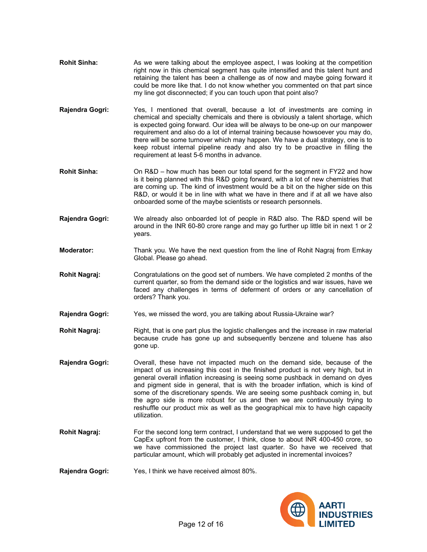- **Rohit Sinha:** As we were talking about the employee aspect. I was looking at the competition right now in this chemical segment has quite intensified and this talent hunt and retaining the talent has been a challenge as of now and maybe going forward it could be more like that. I do not know whether you commented on that part since my line got disconnected; if you can touch upon that point also?
- **Rajendra Gogri:** Yes, I mentioned that overall, because a lot of investments are coming in chemical and specialty chemicals and there is obviously a talent shortage, which is expected going forward. Our idea will be always to be one-up on our manpower requirement and also do a lot of internal training because howsoever you may do, there will be some turnover which may happen. We have a dual strategy, one is to keep robust internal pipeline ready and also try to be proactive in filling the requirement at least 5-6 months in advance.
- **Rohit Sinha:** On R&D how much has been our total spend for the segment in FY22 and how is it being planned with this R&D going forward, with a lot of new chemistries that are coming up. The kind of investment would be a bit on the higher side on this R&D, or would it be in line with what we have in there and if at all we have also onboarded some of the maybe scientists or research personnels.
- **Rajendra Gogri:** We already also onboarded lot of people in R&D also. The R&D spend will be around in the INR 60-80 crore range and may go further up little bit in next 1 or 2 years.
- **Moderator:** Thank you. We have the next question from the line of Rohit Nagraj from Emkay Global. Please go ahead.
- **Rohit Nagraj:** Congratulations on the good set of numbers. We have completed 2 months of the current quarter, so from the demand side or the logistics and war issues, have we faced any challenges in terms of deferment of orders or any cancellation of orders? Thank you.
- **Rajendra Gogri:** Yes, we missed the word, you are talking about Russia-Ukraine war?
- **Rohit Nagraj:** Right, that is one part plus the logistic challenges and the increase in raw material because crude has gone up and subsequently benzene and toluene has also gone up.
- **Rajendra Gogri:** Overall, these have not impacted much on the demand side, because of the impact of us increasing this cost in the finished product is not very high, but in general overall inflation increasing is seeing some pushback in demand on dyes and pigment side in general, that is with the broader inflation, which is kind of some of the discretionary spends. We are seeing some pushback coming in, but the agro side is more robust for us and then we are continuously trying to reshuffle our product mix as well as the geographical mix to have high capacity utilization.
- **Rohit Nagraj:** For the second long term contract, I understand that we were supposed to get the CapEx upfront from the customer, I think, close to about INR 400-450 crore, so we have commissioned the project last quarter. So have we received that particular amount, which will probably get adjusted in incremental invoices?
- **Rajendra Gogri:** Yes, I think we have received almost 80%.

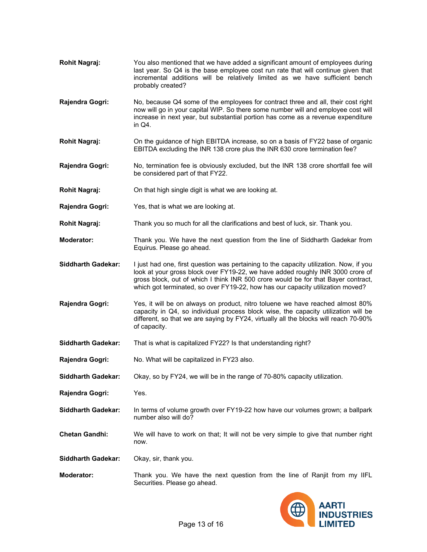- **Rohit Nagraj:** You also mentioned that we have added a significant amount of employees during last year. So Q4 is the base employee cost run rate that will continue given that incremental additions will be relatively limited as we have sufficient bench probably created?
- **Rajendra Gogri:** No, because Q4 some of the employees for contract three and all, their cost right now will go in your capital WIP. So there some number will and employee cost will increase in next year, but substantial portion has come as a revenue expenditure in Q4.
- **Rohit Nagraj:** On the guidance of high EBITDA increase, so on a basis of FY22 base of organic EBITDA excluding the INR 138 crore plus the INR 630 crore termination fee?
- **Rajendra Gogri:** No, termination fee is obviously excluded, but the INR 138 crore shortfall fee will be considered part of that FY22.
- **Rohit Nagraj:** On that high single digit is what we are looking at.
- **Rajendra Gogri:** Yes, that is what we are looking at.
- **Rohit Nagraj:** Thank you so much for all the clarifications and best of luck, sir. Thank you.
- **Moderator:** Thank you. We have the next question from the line of Siddharth Gadekar from Equirus. Please go ahead.
- **Siddharth Gadekar:** I just had one, first question was pertaining to the capacity utilization. Now, if you look at your gross block over FY19-22, we have added roughly INR 3000 crore of gross block, out of which I think INR 500 crore would be for that Bayer contract, which got terminated, so over FY19-22, how has our capacity utilization moved?
- **Rajendra Gogri:** Yes, it will be on always on product, nitro toluene we have reached almost 80% capacity in Q4, so individual process block wise, the capacity utilization will be different, so that we are saying by FY24, virtually all the blocks will reach 70-90% of capacity.
- **Siddharth Gadekar:** That is what is capitalized FY22? Is that understanding right?
- **Rajendra Gogri:** No. What will be capitalized in FY23 also.
- **Siddharth Gadekar:** Okay, so by FY24, we will be in the range of 70-80% capacity utilization.
- **Rajendra Gogri:** Yes.
- **Siddharth Gadekar:** In terms of volume growth over FY19-22 how have our volumes grown; a ballpark number also will do?
- **Chetan Gandhi:** We will have to work on that; It will not be very simple to give that number right now.

**Siddharth Gadekar:** Okay, sir, thank you.

**Moderator:** Thank you. We have the next question from the line of Ranjit from my IIFL Securities. Please go ahead.

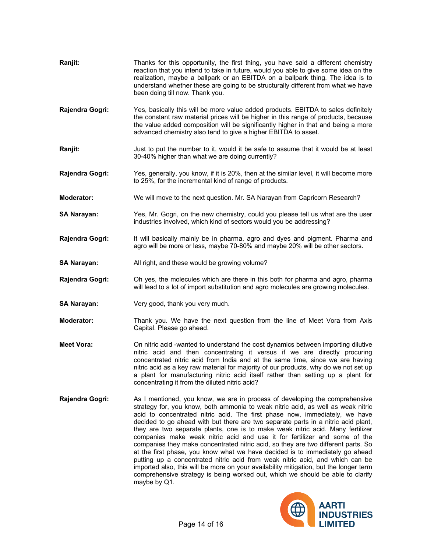| Ranjit:            | Thanks for this opportunity, the first thing, you have said a different chemistry<br>reaction that you intend to take in future, would you able to give some idea on the<br>realization, maybe a ballpark or an EBITDA on a ballpark thing. The idea is to<br>understand whether these are going to be structurally different from what we have<br>been doing till now. Thank you.                                                                                           |  |  |
|--------------------|------------------------------------------------------------------------------------------------------------------------------------------------------------------------------------------------------------------------------------------------------------------------------------------------------------------------------------------------------------------------------------------------------------------------------------------------------------------------------|--|--|
| Rajendra Gogri:    | Yes, basically this will be more value added products. EBITDA to sales definitely<br>the constant raw material prices will be higher in this range of products, because<br>the value added composition will be significantly higher in that and being a more<br>advanced chemistry also tend to give a higher EBITDA to asset.                                                                                                                                               |  |  |
| Ranjit:            | Just to put the number to it, would it be safe to assume that it would be at least<br>30-40% higher than what we are doing currently?                                                                                                                                                                                                                                                                                                                                        |  |  |
| Rajendra Gogri:    | Yes, generally, you know, if it is 20%, then at the similar level, it will become more<br>to 25%, for the incremental kind of range of products.                                                                                                                                                                                                                                                                                                                             |  |  |
| <b>Moderator:</b>  | We will move to the next question. Mr. SA Narayan from Capricorn Research?                                                                                                                                                                                                                                                                                                                                                                                                   |  |  |
| SA Narayan:        | Yes, Mr. Gogri, on the new chemistry, could you please tell us what are the user<br>industries involved, which kind of sectors would you be addressing?                                                                                                                                                                                                                                                                                                                      |  |  |
| Rajendra Gogri:    | It will basically mainly be in pharma, agro and dyes and pigment. Pharma and<br>agro will be more or less, maybe 70-80% and maybe 20% will be other sectors.                                                                                                                                                                                                                                                                                                                 |  |  |
| SA Narayan:        | All right, and these would be growing volume?                                                                                                                                                                                                                                                                                                                                                                                                                                |  |  |
| Rajendra Gogri:    | Oh yes, the molecules which are there in this both for pharma and agro, pharma<br>will lead to a lot of import substitution and agro molecules are growing molecules.                                                                                                                                                                                                                                                                                                        |  |  |
| <b>SA Narayan:</b> | Very good, thank you very much.                                                                                                                                                                                                                                                                                                                                                                                                                                              |  |  |
| <b>Moderator:</b>  | Thank you. We have the next question from the line of Meet Vora from Axis<br>Capital. Please go ahead.                                                                                                                                                                                                                                                                                                                                                                       |  |  |
| Meet Vora:         | On nitric acid -wanted to understand the cost dynamics between importing dilutive<br>nitric acid and then concentrating it versus if we are directly procuring<br>concentrated nitric acid from India and at the same time, since we are having<br>nitric acid as a key raw material for majority of our products, why do we not set up<br>a plant for manufacturing nitric acid itself rather than setting up a plant for<br>concentrating it from the diluted nitric acid? |  |  |
| Rajendra Gogri:    | As I mentioned, you know, we are in process of developing the comprehensive<br>strategy for, you know, both ammonia to weak nitric acid, as well as weak nitric<br>acid to concentrated nitric acid. The first phase now, immediately, we have                                                                                                                                                                                                                               |  |  |

decided to go ahead with but there are two separate parts in a nitric acid plant, they are two separate plants, one is to make weak nitric acid. Many fertilizer companies make weak nitric acid and use it for fertilizer and some of the companies they make concentrated nitric acid, so they are two different parts. So at the first phase, you know what we have decided is to immediately go ahead putting up a concentrated nitric acid from weak nitric acid, and which can be imported also, this will be more on your availability mitigation, but the longer term comprehensive strategy is being worked out, which we should be able to clarify maybe by Q1.

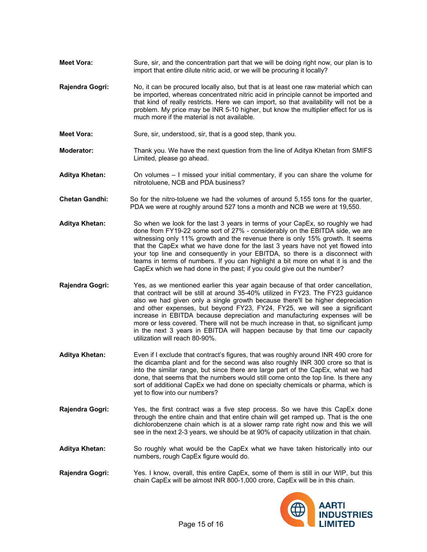- **Meet Vora:** Sure, sir, and the concentration part that we will be doing right now, our plan is to import that entire dilute nitric acid, or we will be procuring it locally?
- **Rajendra Gogri:** No, it can be procured locally also, but that is at least one raw material which can be imported, whereas concentrated nitric acid in principle cannot be imported and that kind of really restricts. Here we can import, so that availability will not be a problem. My price may be INR 5-10 higher, but know the multiplier effect for us is much more if the material is not available.
- **Meet Vora:** Sure, sir, understood, sir, that is a good step, thank you.
- **Moderator:** Thank you. We have the next question from the line of Aditya Khetan from SMIFS Limited, please go ahead.
- **Aditya Khetan:** On volumes I missed your initial commentary, if you can share the volume for nitrotoluene, NCB and PDA business?
- **Chetan Gandhi:** So for the nitro-toluene we had the volumes of around 5,155 tons for the quarter, PDA we were at roughly around 527 tons a month and NCB we were at 19,550.
- **Aditya Khetan:** So when we look for the last 3 years in terms of your CapEx, so roughly we had done from FY19-22 some sort of 27% - considerably on the EBITDA side, we are witnessing only 11% growth and the revenue there is only 15% growth. It seems that the CapEx what we have done for the last 3 years have not yet flowed into your top line and consequently in your EBITDA, so there is a disconnect with teams in terms of numbers. If you can highlight a bit more on what it is and the CapEx which we had done in the past; if you could give out the number?
- **Rajendra Gogri:** Yes, as we mentioned earlier this year again because of that order cancellation, that contract will be still at around 35-40% utilized in FY23. The FY23 guidance also we had given only a single growth because there'll be higher depreciation and other expenses, but beyond FY23, FY24, FY25, we will see a significant increase in EBITDA because depreciation and manufacturing expenses will be more or less covered. There will not be much increase in that, so significant jump in the next 3 years in EBITDA will happen because by that time our capacity utilization will reach 80-90%.
- **Aditya Khetan:** Even if I exclude that contract's figures, that was roughly around INR 490 crore for the dicamba plant and for the second was also roughly INR 300 crore so that is into the similar range, but since there are large part of the CapEx, what we had done, that seems that the numbers would still come onto the top line. Is there any sort of additional CapEx we had done on specialty chemicals or pharma, which is yet to flow into our numbers?
- **Rajendra Gogri:** Yes, the first contract was a five step process. So we have this CapEx done through the entire chain and that entire chain will get ramped up. That is the one dichlorobenzene chain which is at a slower ramp rate right now and this we will see in the next 2-3 years, we should be at 90% of capacity utilization in that chain.
- **Aditya Khetan:** So roughly what would be the CapEx what we have taken historically into our numbers, rough CapEx figure would do.
- **Rajendra Gogri:** Yes. I know, overall, this entire CapEx, some of them is still in our WIP, but this chain CapEx will be almost INR 800-1,000 crore, CapEx will be in this chain.